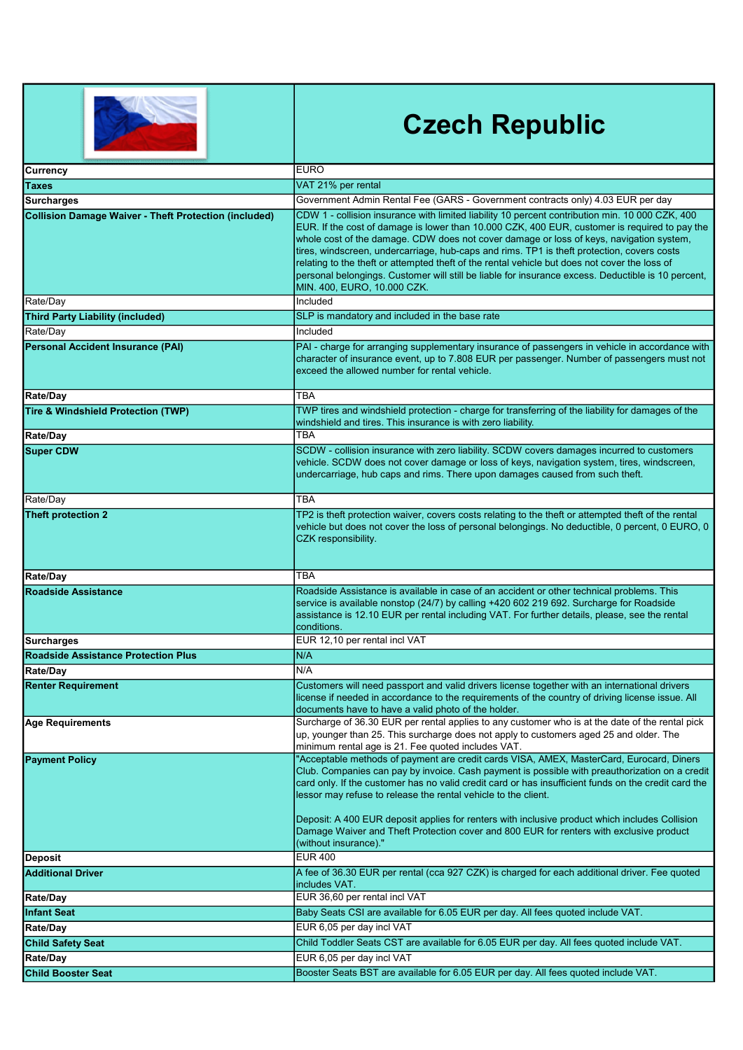|                                                              | <b>Czech Republic</b>                                                                                                                                                                                                                                                                                                                                                                                                                                                                                                                                                                                                           |
|--------------------------------------------------------------|---------------------------------------------------------------------------------------------------------------------------------------------------------------------------------------------------------------------------------------------------------------------------------------------------------------------------------------------------------------------------------------------------------------------------------------------------------------------------------------------------------------------------------------------------------------------------------------------------------------------------------|
| Currency                                                     | <b>EURO</b>                                                                                                                                                                                                                                                                                                                                                                                                                                                                                                                                                                                                                     |
| Taxes                                                        | VAT 21% per rental                                                                                                                                                                                                                                                                                                                                                                                                                                                                                                                                                                                                              |
| <b>Surcharges</b>                                            | Government Admin Rental Fee (GARS - Government contracts only) 4.03 EUR per day                                                                                                                                                                                                                                                                                                                                                                                                                                                                                                                                                 |
| <b>Collision Damage Waiver - Theft Protection (included)</b> | CDW 1 - collision insurance with limited liability 10 percent contribution min. 10 000 CZK, 400<br>EUR. If the cost of damage is lower than 10.000 CZK, 400 EUR, customer is required to pay the<br>whole cost of the damage. CDW does not cover damage or loss of keys, navigation system,<br>tires, windscreen, undercarriage, hub-caps and rims. TP1 is theft protection, covers costs<br>relating to the theft or attempted theft of the rental vehicle but does not cover the loss of<br>personal belongings. Customer will still be liable for insurance excess. Deductible is 10 percent,<br>MIN. 400, EURO, 10.000 CZK. |
| Rate/Day                                                     | Included                                                                                                                                                                                                                                                                                                                                                                                                                                                                                                                                                                                                                        |
| <b>Third Party Liability (included)</b>                      | SLP is mandatory and included in the base rate                                                                                                                                                                                                                                                                                                                                                                                                                                                                                                                                                                                  |
| Rate/Day                                                     | Included                                                                                                                                                                                                                                                                                                                                                                                                                                                                                                                                                                                                                        |
| <b>Personal Accident Insurance (PAI)</b>                     | PAI - charge for arranging supplementary insurance of passengers in vehicle in accordance with<br>character of insurance event, up to 7.808 EUR per passenger. Number of passengers must not<br>exceed the allowed number for rental vehicle.                                                                                                                                                                                                                                                                                                                                                                                   |
| <b>Rate/Day</b>                                              | <b>TBA</b>                                                                                                                                                                                                                                                                                                                                                                                                                                                                                                                                                                                                                      |
| Tire & Windshield Protection (TWP)                           | TWP tires and windshield protection - charge for transferring of the liability for damages of the<br>windshield and tires. This insurance is with zero liability.                                                                                                                                                                                                                                                                                                                                                                                                                                                               |
| <b>Rate/Day</b>                                              | <b>TBA</b>                                                                                                                                                                                                                                                                                                                                                                                                                                                                                                                                                                                                                      |
| <b>Super CDW</b>                                             | SCDW - collision insurance with zero liability. SCDW covers damages incurred to customers<br>vehicle. SCDW does not cover damage or loss of keys, navigation system, tires, windscreen,<br>undercarriage, hub caps and rims. There upon damages caused from such theft.                                                                                                                                                                                                                                                                                                                                                         |
| Rate/Day                                                     | <b>TBA</b>                                                                                                                                                                                                                                                                                                                                                                                                                                                                                                                                                                                                                      |
| Theft protection 2                                           | TP2 is theft protection waiver, covers costs relating to the theft or attempted theft of the rental<br>vehicle but does not cover the loss of personal belongings. No deductible, 0 percent, 0 EURO, 0<br>CZK responsibility.                                                                                                                                                                                                                                                                                                                                                                                                   |
| <b>Rate/Day</b>                                              | ТВА                                                                                                                                                                                                                                                                                                                                                                                                                                                                                                                                                                                                                             |
| <b>Roadside Assistance</b>                                   | Roadside Assistance is available in case of an accident or other technical problems. This<br>service is available nonstop (24/7) by calling +420 602 219 692. Surcharge for Roadside<br>assistance is 12.10 EUR per rental including VAT. For further details, please, see the rental<br>conditions.                                                                                                                                                                                                                                                                                                                            |
| Surcharges                                                   | EUR 12,10 per rental incl VAT                                                                                                                                                                                                                                                                                                                                                                                                                                                                                                                                                                                                   |
| <b>Roadside Assistance Protection Plus</b>                   | N/A                                                                                                                                                                                                                                                                                                                                                                                                                                                                                                                                                                                                                             |
| Rate/Day                                                     | N/A                                                                                                                                                                                                                                                                                                                                                                                                                                                                                                                                                                                                                             |
| <b>Renter Requirement</b>                                    | Customers will need passport and valid drivers license together with an international drivers<br>license if needed in accordance to the requirements of the country of driving license issue. All<br>documents have to have a valid photo of the holder.                                                                                                                                                                                                                                                                                                                                                                        |
| Age Requirements                                             | Surcharge of 36.30 EUR per rental applies to any customer who is at the date of the rental pick<br>up, younger than 25. This surcharge does not apply to customers aged 25 and older. The<br>minimum rental age is 21. Fee quoted includes VAT.                                                                                                                                                                                                                                                                                                                                                                                 |
| <b>Payment Policy</b>                                        | "Acceptable methods of payment are credit cards VISA, AMEX, MasterCard, Eurocard, Diners<br>Club. Companies can pay by invoice. Cash payment is possible with preauthorization on a credit<br>card only. If the customer has no valid credit card or has insufficient funds on the credit card the<br>lessor may refuse to release the rental vehicle to the client.<br>Deposit: A 400 EUR deposit applies for renters with inclusive product which includes Collision<br>Damage Waiver and Theft Protection cover and 800 EUR for renters with exclusive product<br>(without insurance)."                                      |
| Deposit                                                      | <b>EUR 400</b>                                                                                                                                                                                                                                                                                                                                                                                                                                                                                                                                                                                                                  |
| <b>Additional Driver</b>                                     | A fee of 36.30 EUR per rental (cca 927 CZK) is charged for each additional driver. Fee quoted<br>includes VAT.                                                                                                                                                                                                                                                                                                                                                                                                                                                                                                                  |
| <b>Rate/Day</b>                                              | EUR 36,60 per rental incl VAT                                                                                                                                                                                                                                                                                                                                                                                                                                                                                                                                                                                                   |
| <b>Infant Seat</b>                                           | Baby Seats CSI are available for 6.05 EUR per day. All fees quoted include VAT.                                                                                                                                                                                                                                                                                                                                                                                                                                                                                                                                                 |
| <b>Rate/Day</b>                                              | EUR 6,05 per day incl VAT                                                                                                                                                                                                                                                                                                                                                                                                                                                                                                                                                                                                       |
| <b>Child Safety Seat</b>                                     | Child Toddler Seats CST are available for 6.05 EUR per day. All fees quoted include VAT.                                                                                                                                                                                                                                                                                                                                                                                                                                                                                                                                        |
| Rate/Day                                                     | EUR 6,05 per day incl VAT                                                                                                                                                                                                                                                                                                                                                                                                                                                                                                                                                                                                       |
| <b>Child Booster Seat</b>                                    | Booster Seats BST are available for 6.05 EUR per day. All fees quoted include VAT.                                                                                                                                                                                                                                                                                                                                                                                                                                                                                                                                              |